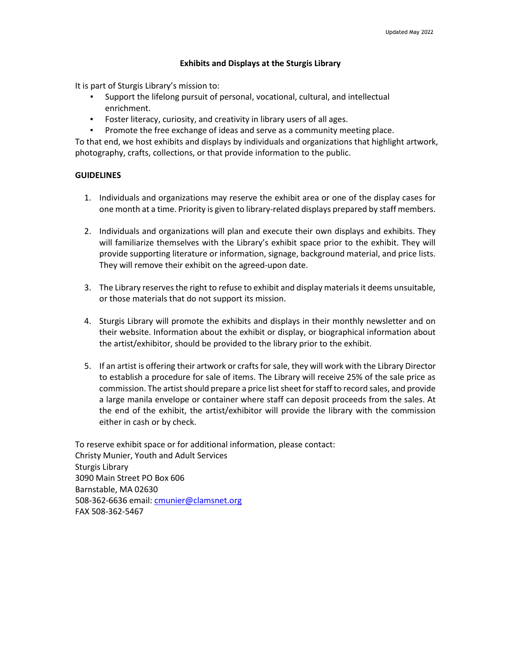## **Exhibits and Displays at the Sturgis Library**

It is part of Sturgis Library's mission to:

- Support the lifelong pursuit of personal, vocational, cultural, and intellectual enrichment.
- Foster literacy, curiosity, and creativity in library users of all ages.
- Promote the free exchange of ideas and serve as a community meeting place.

To that end, we host exhibits and displays by individuals and organizations that highlight artwork, photography, crafts, collections, or that provide information to the public.

# **GUIDELINES**

- 1. Individuals and organizations may reserve the exhibit area or one of the display cases for one month at a time. Priority is given to library-related displays prepared by staff members.
- 2. Individuals and organizations will plan and execute their own displays and exhibits. They will familiarize themselves with the Library's exhibit space prior to the exhibit. They will provide supporting literature or information, signage, background material, and price lists. They will remove their exhibit on the agreed‐upon date.
- 3. The Library reserves the right to refuse to exhibit and display materials it deems unsuitable, or those materials that do not support its mission.
- 4. Sturgis Library will promote the exhibits and displays in their monthly newsletter and on their website. Information about the exhibit or display, or biographical information about the artist/exhibitor, should be provided to the library prior to the exhibit.
- 5. If an artist is offering their artwork or crafts for sale, they will work with the Library Director to establish a procedure for sale of items. The Library will receive 25% of the sale price as commission. The artist should prepare a price list sheet for staff to record sales, and provide a large manila envelope or container where staff can deposit proceeds from the sales. At the end of the exhibit, the artist/exhibitor will provide the library with the commission either in cash or by check.

To reserve exhibit space or for additional information, please contact: Christy Munier, Youth and Adult Services Sturgis Library 3090 Main Street PO Box 606 Barnstable, MA 02630 508‐362‐6636 email: [cmunier@clamsnet.org](mailto:cmunier@clamsnet.org) FAX 508‐362‐5467